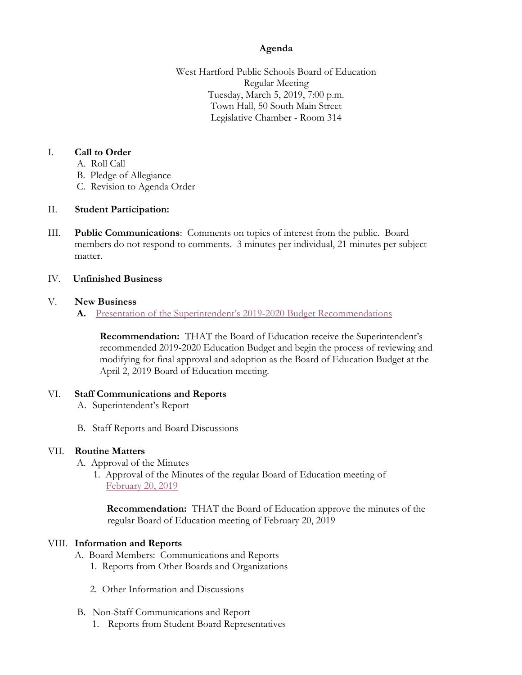# **Agenda**

West Hartford Public Schools Board of Education Regular Meeting Tuesday, March 5, 2019, 7:00 p.m. Town Hall, 50 South Main Street Legislative Chamber - Room 314

## I. **Call to Order**

- A. Roll Call
- B. Pledge of Allegiance
- C. Revision to Agenda Order

## II. **Student Participation:**

III. **Public Communications**: Comments on topics of interest from the public. Board members do not respond to comments. 3 minutes per individual, 21 minutes per subject matter.

#### IV. **Unfinished Business**

#### V. **New Business**

**A.** Presentat[ion of the Superintendent's 2019](https://westhartford.finalsite.com/uploaded/BOE/BOE_Documents/20190305/Super)-2020 Budget Recommendations

**Recommendation:** THAT the Board of Education receive the Superintendent's recommended 2019-2020 Education Budget and begin the process of reviewing and modifying for final approval and adoption as the Board of Education Budget at the April 2, 2019 Board of Education meeting.

## VI. **Staff Communications and Reports**

- A. Superintendent's Report
- B. Staff Reports and Board Discussions

## VII. **Routine Matters**

A. Approval of the Minutes

 1. Approval of the Minutes of the regular Board of Education meeting of [February 20, 2019](https://westhartford.finalsite.com/uploaded/BOE/BOE_Documents/20190305/Minutes_February_20_2019_meeting.pdf?1551466303644)

 **Recommendation:** THAT the Board of Education approve the minutes of the regular Board of Education meeting of February 20, 2019

## VIII. **Information and Reports**

- A. Board Members: Communications and Reports
	- 1. Reports from Other Boards and Organizations
	- 2. Other Information and Discussions
- B. Non-Staff Communications and Report
	- 1. Reports from Student Board Representatives